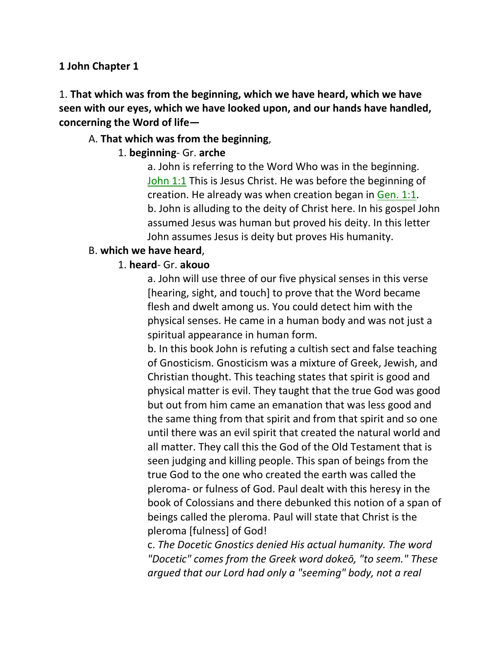#### **1 John Chapter 1**

## 1. **That which was from the beginning, which we have heard, which we have seen with our eyes, which we have looked upon, and our hands have handled, concerning the Word of life—**

#### A. **That which was from the beginning**,

## 1. **beginning**- Gr. **arche**

a. John is referring to the Word Who was in the beginning. John 1:1 This is Jesus Christ. He was before the beginning of creation. He already was when creation began in Gen. 1:1. b. John is alluding to the deity of Christ here. In his gospel John assumed Jesus was human but proved his deity. In this letter John assumes Jesus is deity but proves His humanity.

## B. **which we have heard**,

#### 1. **heard**- Gr. **akouo**

a. John will use three of our five physical senses in this verse [hearing, sight, and touch] to prove that the Word became flesh and dwelt among us. You could detect him with the physical senses. He came in a human body and was not just a spiritual appearance in human form.

b. In this book John is refuting a cultish sect and false teaching of Gnosticism. Gnosticism was a mixture of Greek, Jewish, and Christian thought. This teaching states that spirit is good and physical matter is evil. They taught that the true God was good but out from him came an emanation that was less good and the same thing from that spirit and from that spirit and so one until there was an evil spirit that created the natural world and all matter. They call this the God of the Old Testament that is seen judging and killing people. This span of beings from the true God to the one who created the earth was called the pleroma- or fulness of God. Paul dealt with this heresy in the book of Colossians and there debunked this notion of a span of beings called the pleroma. Paul will state that Christ is the pleroma [fulness] of God!

c. *The Docetic Gnostics denied His actual humanity. The word "Docetic" comes from the Greek word dokeō, "to seem." These argued that our Lord had only a "seeming" body, not a real*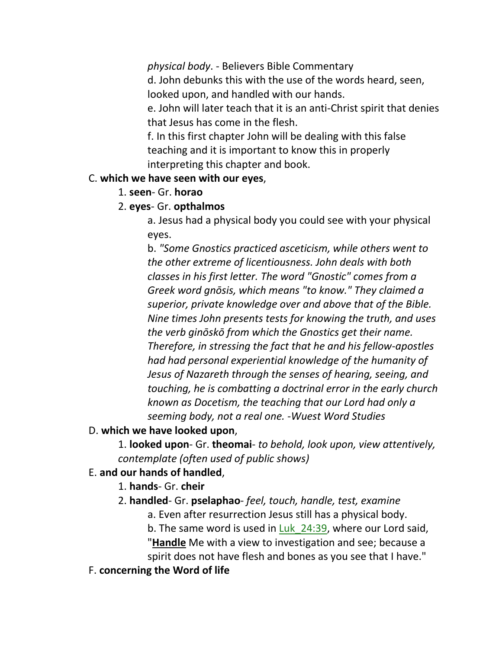*physical body*. - Believers Bible Commentary

d. John debunks this with the use of the words heard, seen,

looked upon, and handled with our hands.

e. John will later teach that it is an anti-Christ spirit that denies that Jesus has come in the flesh.

f. In this first chapter John will be dealing with this false teaching and it is important to know this in properly interpreting this chapter and book.

## C. **which we have seen with our eyes**,

## 1. **seen**- Gr. **horao**

# 2. **eyes**- Gr. **opthalmos**

a. Jesus had a physical body you could see with your physical eyes.

b. *"Some Gnostics practiced asceticism, while others went to the other extreme of licentiousness. John deals with both classes in his first letter. The word "Gnostic" comes from a Greek word gnōsis, which means "to know." They claimed a superior, private knowledge over and above that of the Bible. Nine times John presents tests for knowing the truth, and uses the verb ginōskō from which the Gnostics get their name. Therefore, in stressing the fact that he and his fellow-apostles had had personal experiential knowledge of the humanity of Jesus of Nazareth through the senses of hearing, seeing, and touching, he is combatting a doctrinal error in the early church known as Docetism, the teaching that our Lord had only a seeming body, not a real one. -Wuest Word Studies*

# D. **which we have looked upon**,

1. **looked upon**- Gr. **theomai**- *to behold, look upon, view attentively, contemplate (often used of public shows)*

# E. **and our hands of handled**,

1. **hands**- Gr. **cheir**

2. **handled**- Gr. **pselaphao**- *feel, touch, handle, test, examine*

a. Even after resurrection Jesus still has a physical body.

b. The same word is used in Luk 24:39, where our Lord said, "**Handle** Me with a view to investigation and see; because a spirit does not have flesh and bones as you see that I have."

F. **concerning the Word of life**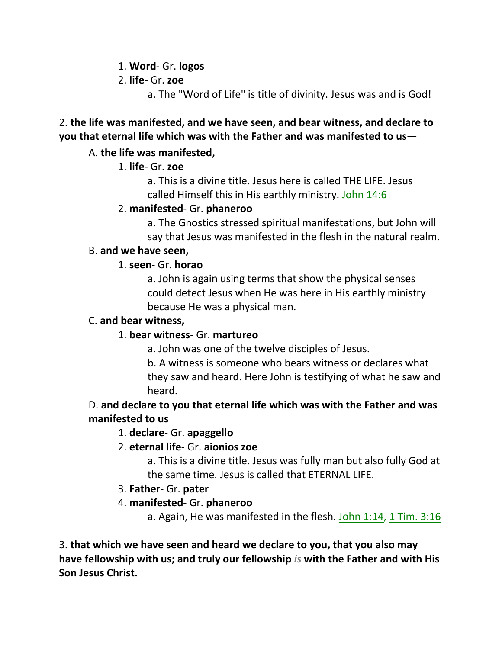1. **Word**- Gr. **logos**

2. **life**- Gr. **zoe**

a. The "Word of Life" is title of divinity. Jesus was and is God!

## 2. **the life was manifested, and we have seen, and bear witness, and declare to you that eternal life which was with the Father and was manifested to us—**

# A. **the life was manifested,**

# 1. **life**- Gr. **zoe**

a. This is a divine title. Jesus here is called THE LIFE. Jesus called Himself this in His earthly ministry. John 14:6

# 2. **manifested**- Gr. **phaneroo**

a. The Gnostics stressed spiritual manifestations, but John will say that Jesus was manifested in the flesh in the natural realm.

# B. **and we have seen,**

# 1. **seen**- Gr. **horao**

a. John is again using terms that show the physical senses could detect Jesus when He was here in His earthly ministry because He was a physical man.

## C. **and bear witness,**

# 1. **bear witness**- Gr. **martureo**

a. John was one of the twelve disciples of Jesus.

b. A witness is someone who bears witness or declares what they saw and heard. Here John is testifying of what he saw and heard.

# D. **and declare to you that eternal life which was with the Father and was manifested to us**

# 1. **declare**- Gr. **apaggello**

# 2. **eternal life**- Gr. **aionios zoe**

a. This is a divine title. Jesus was fully man but also fully God at the same time. Jesus is called that ETERNAL LIFE.

# 3. **Father**- Gr. **pater**

# 4. **manifested**- Gr. **phaneroo**

a. Again, He was manifested in the flesh. John 1:14, 1 Tim. 3:16

3. **that which we have seen and heard we declare to you, that you also may have fellowship with us; and truly our fellowship** *is* **with the Father and with His Son Jesus Christ.**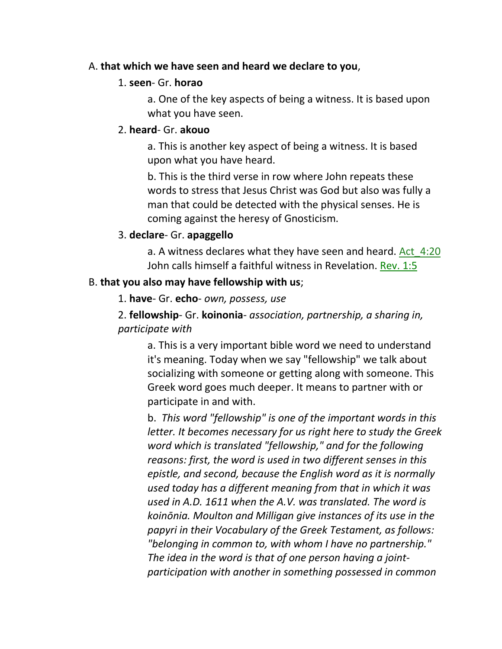#### A. **that which we have seen and heard we declare to you**,

#### 1. **seen**- Gr. **horao**

a. One of the key aspects of being a witness. It is based upon what you have seen.

#### 2. **heard**- Gr. **akouo**

a. This is another key aspect of being a witness. It is based upon what you have heard.

b. This is the third verse in row where John repeats these words to stress that Jesus Christ was God but also was fully a man that could be detected with the physical senses. He is coming against the heresy of Gnosticism.

#### 3. **declare**- Gr. **apaggello**

a. A witness declares what they have seen and heard. Act 4:20 John calls himself a faithful witness in Revelation. Rev. 1:5

## B. **that you also may have fellowship with us**;

1. **have**- Gr. **echo**- *own, possess, use*

2. **fellowship**- Gr. **koinonia**- *association, partnership, a sharing in, participate with*

a. This is a very important bible word we need to understand it's meaning. Today when we say "fellowship" we talk about socializing with someone or getting along with someone. This Greek word goes much deeper. It means to partner with or participate in and with.

b. *This word "fellowship" is one of the important words in this letter. It becomes necessary for us right here to study the Greek word which is translated "fellowship," and for the following reasons: first, the word is used in two different senses in this epistle, and second, because the English word as it is normally used today has a different meaning from that in which it was used in A.D. 1611 when the A.V. was translated. The word is koinōnia. Moulton and Milligan give instances of its use in the papyri in their Vocabulary of the Greek Testament, as follows: "belonging in common to, with whom I have no partnership." The idea in the word is that of one person having a jointparticipation with another in something possessed in common*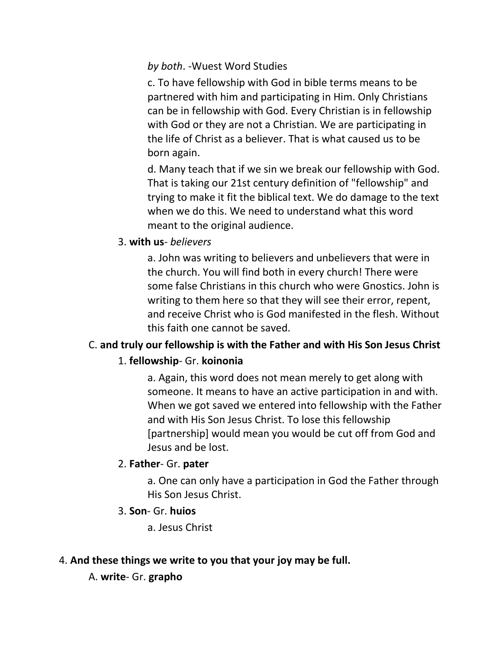*by both*. -Wuest Word Studies

c. To have fellowship with God in bible terms means to be partnered with him and participating in Him. Only Christians can be in fellowship with God. Every Christian is in fellowship with God or they are not a Christian. We are participating in the life of Christ as a believer. That is what caused us to be born again.

d. Many teach that if we sin we break our fellowship with God. That is taking our 21st century definition of "fellowship" and trying to make it fit the biblical text. We do damage to the text when we do this. We need to understand what this word meant to the original audience.

#### 3. **with us**- *believers*

a. John was writing to believers and unbelievers that were in the church. You will find both in every church! There were some false Christians in this church who were Gnostics. John is writing to them here so that they will see their error, repent, and receive Christ who is God manifested in the flesh. Without this faith one cannot be saved.

# C. **and truly our fellowship is with the Father and with His Son Jesus Christ**

## 1. **fellowship**- Gr. **koinonia**

a. Again, this word does not mean merely to get along with someone. It means to have an active participation in and with. When we got saved we entered into fellowship with the Father and with His Son Jesus Christ. To lose this fellowship [partnership] would mean you would be cut off from God and Jesus and be lost.

#### 2. **Father**- Gr. **pater**

a. One can only have a participation in God the Father through His Son Jesus Christ.

3. **Son**- Gr. **huios**

a. Jesus Christ

## 4. **And these things we write to you that your joy may be full.**

## A. **write**- Gr. **grapho**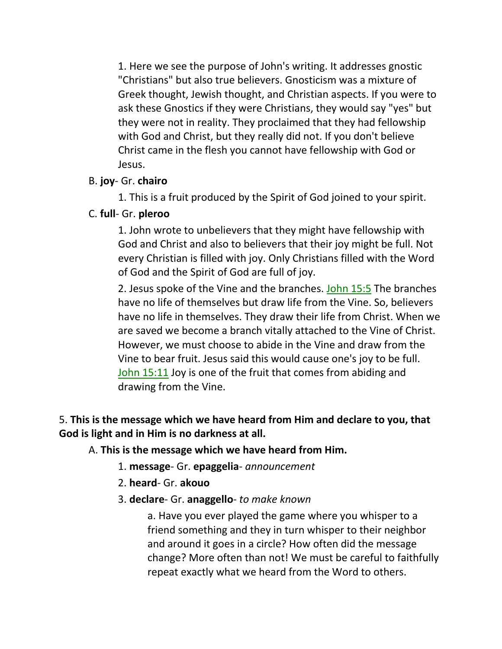1. Here we see the purpose of John's writing. It addresses gnostic "Christians" but also true believers. Gnosticism was a mixture of Greek thought, Jewish thought, and Christian aspects. If you were to ask these Gnostics if they were Christians, they would say "yes" but they were not in reality. They proclaimed that they had fellowship with God and Christ, but they really did not. If you don't believe Christ came in the flesh you cannot have fellowship with God or Jesus.

#### B. **joy**- Gr. **chairo**

1. This is a fruit produced by the Spirit of God joined to your spirit.

#### C. **full**- Gr. **pleroo**

1. John wrote to unbelievers that they might have fellowship with God and Christ and also to believers that their joy might be full. Not every Christian is filled with joy. Only Christians filled with the Word of God and the Spirit of God are full of joy.

2. Jesus spoke of the Vine and the branches. John 15:5 The branches have no life of themselves but draw life from the Vine. So, believers have no life in themselves. They draw their life from Christ. When we are saved we become a branch vitally attached to the Vine of Christ. However, we must choose to abide in the Vine and draw from the Vine to bear fruit. Jesus said this would cause one's joy to be full. John 15:11 Joy is one of the fruit that comes from abiding and drawing from the Vine.

## 5. **This is the message which we have heard from Him and declare to you, that God is light and in Him is no darkness at all.**

#### A. **This is the message which we have heard from Him.**

- 1. **message** Gr. **epaggelia** *announcement*
- 2. **heard** Gr. **akouo**
- 3. **declare** Gr. **anaggello** *to make known*

a. Have you ever played the game where you whisper to a friend something and they in turn whisper to their neighbor and around it goes in a circle? How often did the message change? More often than not! We must be careful to faithfully repeat exactly what we heard from the Word to others.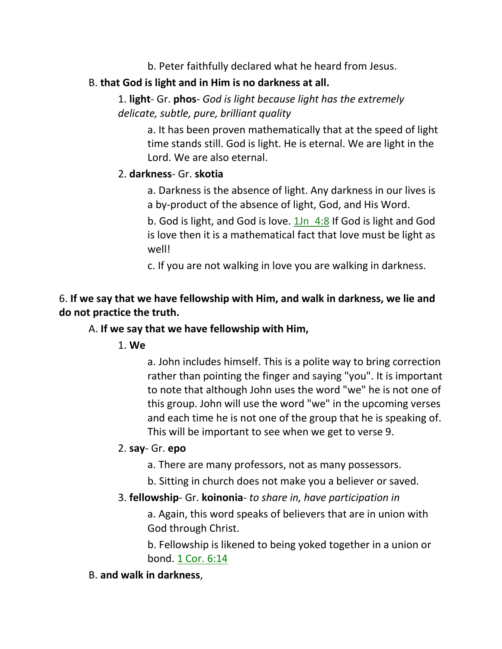b. Peter faithfully declared what he heard from Jesus.

## B. **that God is light and in Him is no darkness at all.**

1. **light**- Gr. **phos**- *God is light because light has the extremely delicate, subtle, pure, brilliant quality*

> a. It has been proven mathematically that at the speed of light time stands still. God is light. He is eternal. We are light in the Lord. We are also eternal.

## 2. **darkness**- Gr. **skotia**

a. Darkness is the absence of light. Any darkness in our lives is a by-product of the absence of light, God, and His Word.

b. God is light, and God is love. 1Jn\_4:8 If God is light and God is love then it is a mathematical fact that love must be light as well!

c. If you are not walking in love you are walking in darkness.

# 6. **If we say that we have fellowship with Him, and walk in darkness, we lie and do not practice the truth.**

## A. **If we say that we have fellowship with Him,**

1. **We**

a. John includes himself. This is a polite way to bring correction rather than pointing the finger and saying "you". It is important to note that although John uses the word "we" he is not one of this group. John will use the word "we" in the upcoming verses and each time he is not one of the group that he is speaking of. This will be important to see when we get to verse 9.

# 2. **say**- Gr. **epo**

- a. There are many professors, not as many possessors.
- b. Sitting in church does not make you a believer or saved.

## 3. **fellowship**- Gr. **koinonia**- *to share in, have participation in*

a. Again, this word speaks of believers that are in union with God through Christ.

b. Fellowship is likened to being yoked together in a union or bond. 1 Cor. 6:14

## B. **and walk in darkness**,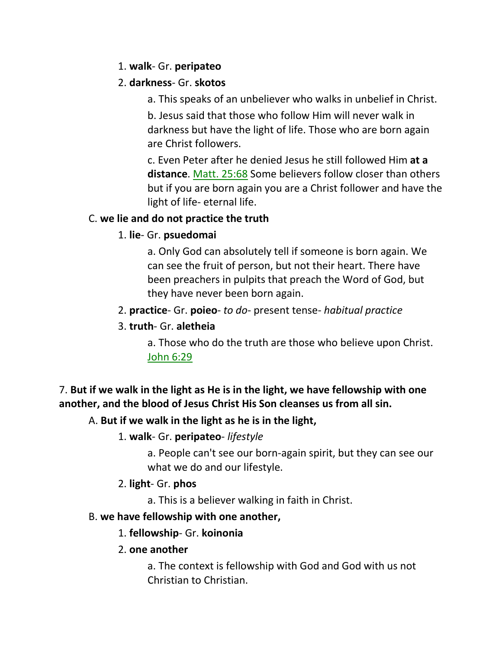## 1. **walk**- Gr. **peripateo**

## 2. **darkness**- Gr. **skotos**

a. This speaks of an unbeliever who walks in unbelief in Christ. b. Jesus said that those who follow Him will never walk in darkness but have the light of life. Those who are born again are Christ followers.

c. Even Peter after he denied Jesus he still followed Him **at a distance**. Matt. 25:68 Some believers follow closer than others but if you are born again you are a Christ follower and have the light of life- eternal life.

## C. **we lie and do not practice the truth**

## 1. **lie**- Gr. **psuedomai**

a. Only God can absolutely tell if someone is born again. We can see the fruit of person, but not their heart. There have been preachers in pulpits that preach the Word of God, but they have never been born again.

2. **practice**- Gr. **poieo**- *to do*- present tense- *habitual practice*

## 3. **truth**- Gr. **aletheia**

a. Those who do the truth are those who believe upon Christ. John 6:29

# 7. **But if we walk in the light as He is in the light, we have fellowship with one another, and the blood of Jesus Christ His Son cleanses us from all sin.**

## A. **But if we walk in the light as he is in the light,**

- 1. **walk** Gr. **peripateo** *lifestyle*
	- a. People can't see our born-again spirit, but they can see our what we do and our lifestyle.

#### 2. **light**- Gr. **phos**

a. This is a believer walking in faith in Christ.

## B. **we have fellowship with one another,**

## 1. **fellowship**- Gr. **koinonia**

#### 2. **one another**

a. The context is fellowship with God and God with us not Christian to Christian.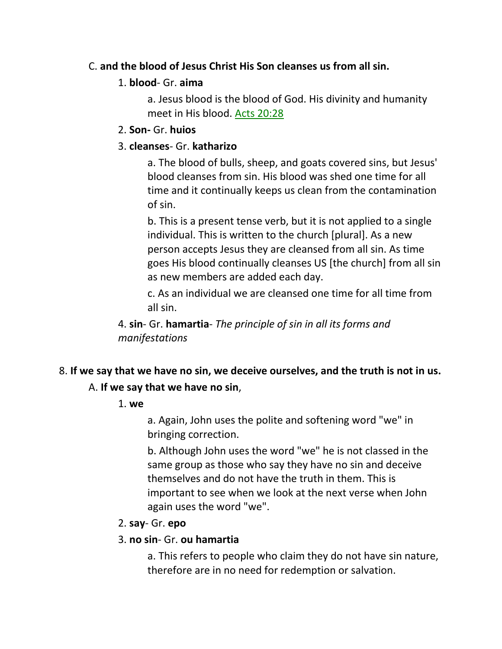#### C. **and the blood of Jesus Christ His Son cleanses us from all sin.**

## 1. **blood**- Gr. **aima**

a. Jesus blood is the blood of God. His divinity and humanity meet in His blood. Acts 20:28

2. **Son-** Gr. **huios**

## 3. **cleanses**- Gr. **katharizo**

a. The blood of bulls, sheep, and goats covered sins, but Jesus' blood cleanses from sin. His blood was shed one time for all time and it continually keeps us clean from the contamination of sin.

b. This is a present tense verb, but it is not applied to a single individual. This is written to the church [plural]. As a new person accepts Jesus they are cleansed from all sin. As time goes His blood continually cleanses US [the church] from all sin as new members are added each day.

c. As an individual we are cleansed one time for all time from all sin.

4. **sin**- Gr. **hamartia**- *The principle of sin in all its forms and manifestations*

# 8. **If we say that we have no sin, we deceive ourselves, and the truth is not in us.**

## A. **If we say that we have no sin**,

1. **we**

a. Again, John uses the polite and softening word "we" in bringing correction.

b. Although John uses the word "we" he is not classed in the same group as those who say they have no sin and deceive themselves and do not have the truth in them. This is important to see when we look at the next verse when John again uses the word "we".

## 2. **say**- Gr. **epo**

#### 3. **no sin**- Gr. **ou hamartia**

a. This refers to people who claim they do not have sin nature, therefore are in no need for redemption or salvation.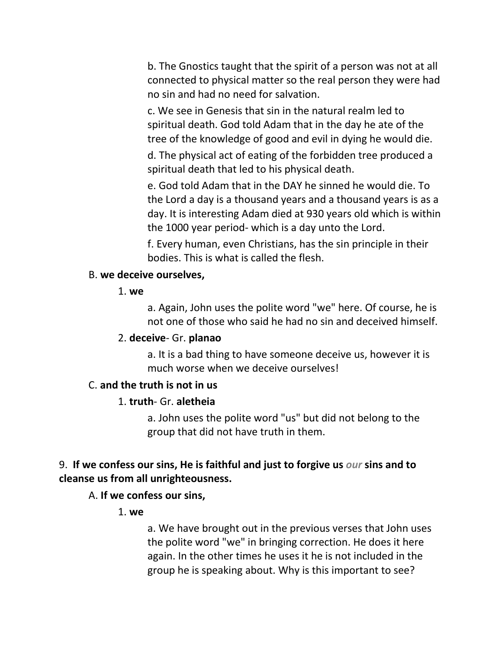b. The Gnostics taught that the spirit of a person was not at all connected to physical matter so the real person they were had no sin and had no need for salvation.

c. We see in Genesis that sin in the natural realm led to spiritual death. God told Adam that in the day he ate of the tree of the knowledge of good and evil in dying he would die.

d. The physical act of eating of the forbidden tree produced a spiritual death that led to his physical death.

e. God told Adam that in the DAY he sinned he would die. To the Lord a day is a thousand years and a thousand years is as a day. It is interesting Adam died at 930 years old which is within the 1000 year period- which is a day unto the Lord.

f. Every human, even Christians, has the sin principle in their bodies. This is what is called the flesh.

#### B. **we deceive ourselves,**

#### 1. **we**

a. Again, John uses the polite word "we" here. Of course, he is not one of those who said he had no sin and deceived himself.

#### 2. **deceive**- Gr. **planao**

a. It is a bad thing to have someone deceive us, however it is much worse when we deceive ourselves!

#### C. **and the truth is not in us**

#### 1. **truth**- Gr. **aletheia**

a. John uses the polite word "us" but did not belong to the group that did not have truth in them.

## 9. **If we confess our sins, He is faithful and just to forgive us** *our* **sins and to cleanse us from all unrighteousness.**

#### A. **If we confess our sins,**

1. **we**

a. We have brought out in the previous verses that John uses the polite word "we" in bringing correction. He does it here again. In the other times he uses it he is not included in the group he is speaking about. Why is this important to see?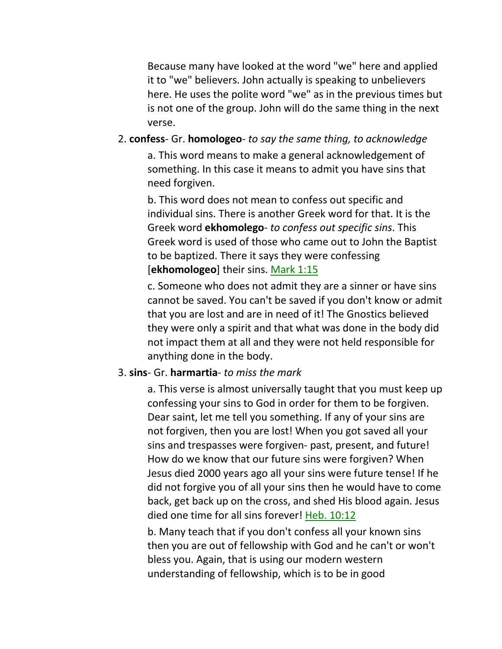Because many have looked at the word "we" here and applied it to "we" believers. John actually is speaking to unbelievers here. He uses the polite word "we" as in the previous times but is not one of the group. John will do the same thing in the next verse.

# 2. **confess**- Gr. **homologeo**- *to say the same thing, to acknowledge*

a. This word means to make a general acknowledgement of something. In this case it means to admit you have sins that need forgiven.

b. This word does not mean to confess out specific and individual sins. There is another Greek word for that. It is the Greek word **ekhomolego**- *to confess out specific sins*. This Greek word is used of those who came out to John the Baptist to be baptized. There it says they were confessing [**ekhomologeo**] their sins. Mark 1:15

c. Someone who does not admit they are a sinner or have sins cannot be saved. You can't be saved if you don't know or admit that you are lost and are in need of it! The Gnostics believed they were only a spirit and that what was done in the body did not impact them at all and they were not held responsible for anything done in the body.

#### 3. **sins**- Gr. **harmartia**- *to miss the mark*

a. This verse is almost universally taught that you must keep up confessing your sins to God in order for them to be forgiven. Dear saint, let me tell you something. If any of your sins are not forgiven, then you are lost! When you got saved all your sins and trespasses were forgiven- past, present, and future! How do we know that our future sins were forgiven? When Jesus died 2000 years ago all your sins were future tense! If he did not forgive you of all your sins then he would have to come back, get back up on the cross, and shed His blood again. Jesus died one time for all sins forever! Heb. 10:12

b. Many teach that if you don't confess all your known sins then you are out of fellowship with God and he can't or won't bless you. Again, that is using our modern western understanding of fellowship, which is to be in good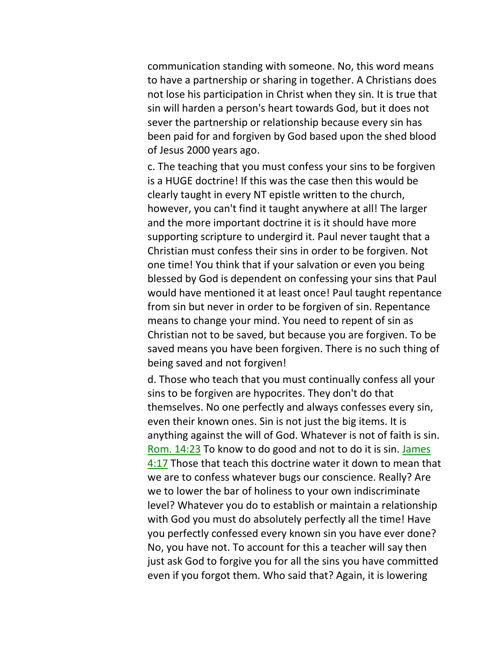communication standing with someone. No, this word means to have a partnership or sharing in together. A Christians does not lose his participation in Christ when they sin. It is true that sin will harden a person's heart towards God, but it does not sever the partnership or relationship because every sin has been paid for and forgiven by God based upon the shed blood of Jesus 2000 years ago.

c. The teaching that you must confess your sins to be forgiven is a HUGE doctrine! If this was the case then this would be clearly taught in every NT epistle written to the church, however, you can't find it taught anywhere at all! The larger and the more important doctrine it is it should have more supporting scripture to undergird it. Paul never taught that a Christian must confess their sins in order to be forgiven. Not one time! You think that if your salvation or even you being blessed by God is dependent on confessing your sins that Paul would have mentioned it at least once! Paul taught repentance from sin but never in order to be forgiven of sin. Repentance means to change your mind. You need to repent of sin as Christian not to be saved, but because you are forgiven. To be saved means you have been forgiven. There is no such thing of being saved and not forgiven!

d. Those who teach that you must continually confess all your sins to be forgiven are hypocrites. They don't do that themselves. No one perfectly and always confesses every sin, even their known ones. Sin is not just the big items. It is anything against the will of God. Whatever is not of faith is sin. Rom. 14:23 To know to do good and not to do it is sin. James 4:17 Those that teach this doctrine water it down to mean that we are to confess whatever bugs our conscience. Really? Are we to lower the bar of holiness to your own indiscriminate level? Whatever you do to establish or maintain a relationship with God you must do absolutely perfectly all the time! Have you perfectly confessed every known sin you have ever done? No, you have not. To account for this a teacher will say then just ask God to forgive you for all the sins you have committed even if you forgot them. Who said that? Again, it is lowering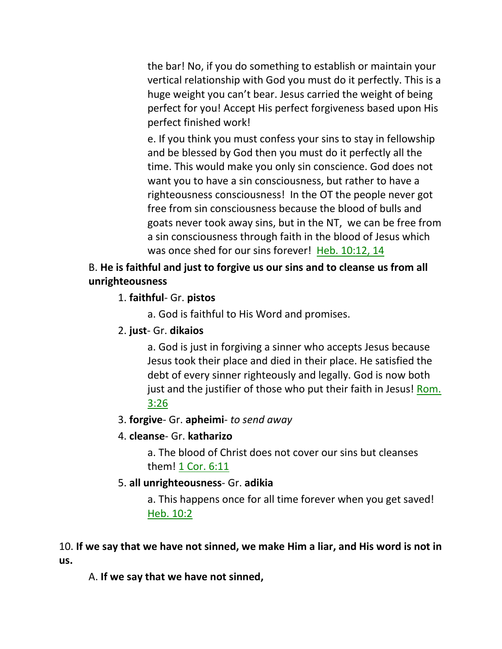the bar! No, if you do something to establish or maintain your vertical relationship with God you must do it perfectly. This is a huge weight you can't bear. Jesus carried the weight of being perfect for you! Accept His perfect forgiveness based upon His perfect finished work!

e. If you think you must confess your sins to stay in fellowship and be blessed by God then you must do it perfectly all the time. This would make you only sin conscience. God does not want you to have a sin consciousness, but rather to have a righteousness consciousness! In the OT the people never got free from sin consciousness because the blood of bulls and goats never took away sins, but in the NT, we can be free from a sin consciousness through faith in the blood of Jesus which was once shed for our sins forever! Heb. 10:12, 14

# B. **He is faithful and just to forgive us our sins and to cleanse us from all unrighteousness**

## 1. **faithful**- Gr. **pistos**

a. God is faithful to His Word and promises.

# 2. **just**- Gr. **dikaios**

a. God is just in forgiving a sinner who accepts Jesus because Jesus took their place and died in their place. He satisfied the debt of every sinner righteously and legally. God is now both just and the justifier of those who put their faith in Jesus! Rom. 3:26

# 3. **forgive**- Gr. **apheimi**- *to send away*

# 4. **cleanse**- Gr. **katharizo**

a. The blood of Christ does not cover our sins but cleanses them! 1 Cor. 6:11

# 5. **all unrighteousness**- Gr. **adikia**

a. This happens once for all time forever when you get saved! Heb. 10:2

# 10. **If we say that we have not sinned, we make Him a liar, and His word is not in us.**

A. **If we say that we have not sinned,**